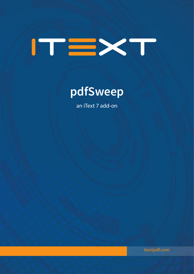

# **pdfSweep**

an iText 7 add-on

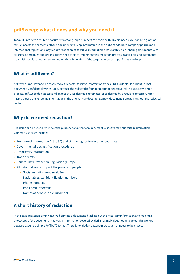### **pdfSweep: what it does and why you need it**

Today, it is easy to distribute documents among large numbers of people with diverse needs. You can also grant or restrict access the content of these documents to keep information in the right hands. Both company policies and international regulations may require redaction of sensitive information before archiving or sharing documents with all users. Companies and organizations need tools to implement this redaction process in a flexible and automated way, with absolute guarantees regarding the elimination of the targeted elements. pdfSweep can help.

### **What is pdfSweep?**

pdfSweep is an iText add-on that removes (redacts) sensitive information from a PDF (Portable Document Format) document. Confidentiality is assured, because the redacted information cannot be recovered. In a secure two-step process, pdfSweep deletes text and images at user-defined coordinates, or as defined by a regular expression. After having parsed the rendering information in the original PDF document, a new document is created without the redacted content.

### **Why do we need redaction?**

Redaction can be useful whenever the publisher or author of a document wishes to take out certain information. Common use cases include:

- Freedom of Information Act (USA) and similar legislation in other countries
- Governmental declassification procedures
- Proprietary information
- Trade secrets
- General Data Protection Regulation (Europe)
- All data that would impact the privacy of people
	- Social security numbers (USA)
	- National register identification numbers
	- Phone numbers
	- Bank account details
	- Names of people in a clinical trial

# **A short history of redaction**

In the past, 'redaction' simply involved printing a document, blacking out the necessary information and making a photocopy of the document. That way, all information covered by dark ink simply does not get copied. This worked because paper is a simple WYSIWYG format. There is no hidden data, no metadata that needs to be erased.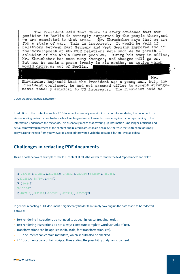The President said that there is every evidence that our position in Berlin is strongly supported by the people there, and Mr. Khrushchev says that we are we are committed to that area. for a state of war. This is incorrect. It would be well if relations between East Germany and West Germany improved and if the development of US-USSR relations were such as to permit solution of the whole German problem. During his stay in office, Mr. Khrushchev has seen many changes, and changes will go on. But now he wants a peace treaty in six months, an action which would drive us out of Berlin.

Mr. Khrushchev had said that the President was a young man, but. the President continued, he had not assumed office to accept arrangements totally inimical to US interests. The President said he

#### *Figure 0: Example redacted document*

In addition to the content as such, a PDF document essentially contains instructions for rendering the document in a viewer. Adding an instruction to draw a black rectangle does not erase text-rendering instructions pertaining to the information underneath the rectangle. This essentially means that covering up information is no longer sufficient, and actual removal/replacement of the content and related instructions is needed. Otherwise text-extraction (or simply copy/pasting the text from your viewer to a text editor) would yield the 'redacted' but still available data.

### **Challenges in redacting PDF documents**

This is a (well-behaved) example of raw PDF content. It tells the viewer to render the text "appearance" and "Pilot".

```
[a, -28.7356, p, 27.2652, p, 27.2652, e, -27.2652, a, -28.7356, r, 64.6889, a, -28.7356, 
n, 27.2652, c, -38.7594, e, 444] TJ
/R10 10.44 Tf
68.16 0.24 Td
[P, -18.7118, i, -9.35592, l, -9.35592, o, -17.2414, t, -9.35636] TJ
```
In general, redacting a PDF document is significantly harder than simply covering up the data that is to be redacted because:

- Text rendering instructions do not need to appear in logical (reading) order.
- Text rendering instructions do not always constitute complete words/chunks of text.
- Transformations can be applied (shift, scale, font transformation, etc).
- PDF documents can contain metadata, which should also be checked.
- PDF documents can contain scripts. Thus adding the possibility of dynamic content.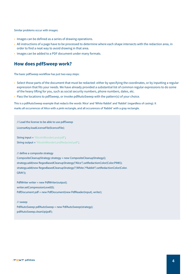Similar problems occur with images:

- Images can be defined as a series of drawing operations.
- All instructions of a page have to be processed to determine where each shape intersects with the redaction area, in order to find a neat way to avoid drawing in that area.
- Images can be added to a PDF document under many formats.

### **How does pdfSweep work?**

The basic pdfSweep workflow has just two easy steps:

- Select those parts of the document that must be redacted: either by specifying the coordinates, or by inputting a regular expression that fits your needs. We have already provided a substantial list of common regular expressions to do some of the heavy lifting for you, such as social security numbers, phone numbers, dates, etc.
- Pass the locations to pdfSweep, or invoke pdfAutoSweep with the pattern(s) of your choice.

This is a pdfAutoSweep example that redacts the words 'Alice' and 'White Rabbit' and 'Rabbit' (regardless of casing). It marks all occurrences of Alice with a pink rectangle, and all occurences of 'Rabbit' with a gray rectangle.

// Load the license to be able to use pdfSweep LicenseKey.loadLicenseFile(licenceFile); String input = "AliceInWonderLand.pdf"; String output = "AliceInWonderLandRedacted.pdf"; // define a composite strategy CompositeCleanupStrategy strategy = new CompositeCleanupStrategy(); strategy.add(new RegexBasedCleanupStrategy("Alice").setRedactionColor(Color.PINK)); strategy.add(new RegexBasedCleanupStrategy("(White )\*Rabbit").setRedactionColor(Color. GRAY)); PdfWriter writer = new PdfWriter(output); writer.setCompressionLevel(0); PdfDocument pdf = new PdfDocument(new PdfReader(input), writer);

// sweep PdfAutoSweep pdfAutoSweep = new PdfAutoSweep(strategy); pdfAutoSweep.cleanUp(pdf);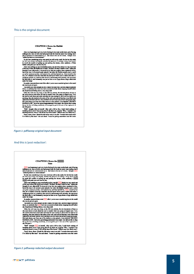#### This is the original document:

#### **CHAPTER L Down the Rabbit-**Hole

Alice was beginning to get very tired of sitting by her sister on the bank, and of having nothing to do: once or twice she had peeped into the book her sister was reading, but it had no pictures or conversations in it, 'a

WHOM procurses or conversations (as well as she could, for the hot day made<br>So she was considering in her own mind (as well as she could, for the hot day made<br>her well the structure of material property and price the plea

be worth the trouble of getting op and parking the datases, when stateday a white<br>Rabbit with pink eyes ran close by her.<br>These was noting to the search of getting of the search of Alice this avery much out<br>of the way to

under the hedge.<br>In another moment down went Alice after it, never once considering how in the world<br>she was to get out again.

she was to get out again, the two states that is some way, and then digred suddenly down, so suddenly that Alice had not a nonment to think about stopping heaself before the fundaherest? falling down a very deep well. We the jar for fear<br>she fell past it

e reu pass n.<br>"Well!" homepht Alice to herself, "after such a fall as this, I shall think nothing of<br>urbling down stairs! How brave they"Il all think me at home! Why, I wouldn't say<br>nything about it, even if I fell off the Down, down, down. Would the fall *news* come to an end! 'I wonder how many miles<br>I've fallen by this time?' she said aloud. 'I must be getting somewhere near the centre

*Figure 1: pdfSweep original input document*

#### And this is 'post redaction':



*Figure 2: pdfsweep redacted output document*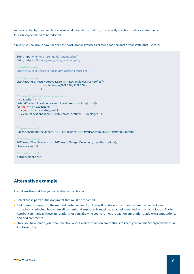As is made clear by this example document (and the code to go with it), it is perfectly possible to define a custom color for each snippet of text to be redacted.

Similarly, you could also have specified the exact locations yourself. Following code-snippet demonstrates that use case:

```
String input = "iphone_user_quide_untagged.pdf":
String output = "iphone_user_quide_redacted.pdf";
// load licensekey
LicenseKey.loadLicenseFile("itext_dev_master_license.xml");
// define rectangles
List<Rectangle> rects = Arrays.asList(new Rectangle(60f, 80f, 460f, 65f),
                    new Rectangle(300f, 370f, 215f, 260f)
\hspace{1.5cm}// turn rectangles into cleanup locations
int pagesNum = 130;
List<PdfCleanUpLocation> cleanUpLocations = new ArrayList<>();
for (int i = 0; i < pagesNum; ++i) {
for (int j = 0; j < rects.size(); ++j) {
    cleanUpLocations.add(new PdfCleanUpLocation(i + 1, rects.get(j)));
  }
}
// open document
PdfDocument pdfDocument = new PdfDocument(new PdfReader(input), new PdfWriter(output));
// perform cleanup
PdfCleanUpTool cleaner = new PdfCleanUpTool(pdfDocument, cleanUpLocations);
cleaner.cleanUp();
// close document
pdfDocument.close();
```
# **Alternative example**

In an alternative workflow, you can add human verification:

- Select those parts of the document that must be redacted.
- Call pdfAutoSweep with the method tentativeCleanUp. This will produce a document where the content was not actually redacted, but where all content that supposedly must be redacted is marked with an annotation. Adobe Acrobat can manage these annotations for you, allowing you to remove redaction annotations, add extra annotations, and add comments.
- Once you have made your final selection about which redaction annotations to keep, you can hit "apply redaction" in Adobe Acrobat.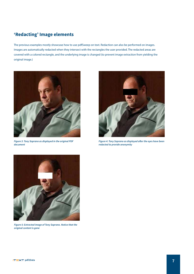### **'Redacting' Image elements**

The previous examples mostly showcase how to use pdfSweep on text. Redaction can also be performed on images. Images are automatically redacted when they intersect with the rectangles the user provided. The redacted areas are covered with a colored rectangle, and the underlying image is changed (to prevent image extraction from yielding the original image.)



*Figure 3: Tony Soprano as displayed in the original PDF document*



*Figure 4: Tony Soprano as displayed after the eyes have been redacted to provide anonymity*



*Figure 5: Extracted image of Tony Soprano. Notice that the original content is gone*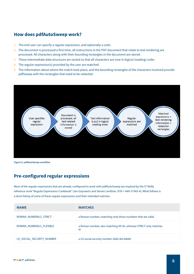### **How does pdfAutoSweep work?**

- 1. The end user can specify a regular expression, and optionally a color.
- 2. The document is processed a first time, all instructions in the PDF document that relate to text rendering are processed. All characters along with their bounding rectangles in the document are stored.
- 3. These intermediate data structures are sorted so that all characters are now in logical (reading) order.
- 4. The regular expression(s) provided by the user are matched.
- 5. The information about where the match took place, and the bounding rectangles of the characters involved provide pdfSweep with the rectangles that need to be redacted.



*Figure 6: pdfAutoSweep workflow*

### **Pre-configured regular expressions**

Most of the regular expressions that are already configured to work with pdfAutoSweep are inspired by the O' Reilly reference work "Regular Expressions Cookbook" (Jan Goyvaerts and Steven Levithan, 978-1-449-31943-4). What follows is a short listing of some of these regular expressions and their intended matches.

| <b>NAME</b>               | <b>MATCHES</b>                                                            |
|---------------------------|---------------------------------------------------------------------------|
| ROMAN NUMERALS STRICT     | a Roman number, matching only those numbers that are valid.               |
| ROMAN NUMERALS FLEXIBLE   | a Roman number, also matching IIII (4), whereas STRICT only matches<br>IV |
| US SOCIAL SECURITY NUMBER | a US social security number (ddd-dd-dddd)                                 |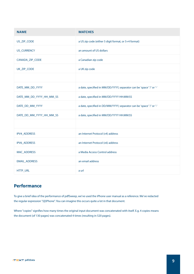| <b>NAME</b>              | <b>MATCHES</b>                                                       |  |
|--------------------------|----------------------------------------------------------------------|--|
| US_ZIP_CODE              | a US zip code (either 5 digit format, or 5+4 format)                 |  |
| <b>US_CURRENCY</b>       | an amount of US dollars                                              |  |
| CANADA_ZIP_CODE          | a Canadian zip code                                                  |  |
| UK_ZIP_CODE              | a UK zip code                                                        |  |
|                          |                                                                      |  |
| DATE_MM_DD_YYYY          | a date, specified in MM/DD/YYYY, separator can be 'space' '/' or '-' |  |
| DATE_MM_DD_YYYY_HH_MM_SS | a date, specified in MM/DD/YYYY HH:MM:SS                             |  |
| DATE_DD_MM_YYYY          | a date, specified in DD/MM/YYYY, separator can be 'space' '/' or '-' |  |
| DATE_DD_MM_YYYY_HH_MM_SS | a date, specified in MM/DD/YYYY HH:MM:SS                             |  |
|                          |                                                                      |  |
| IPV4_ADDRESS             | an Internet Protocol (v4) address                                    |  |
| IPV6_ADDRESS             | an Internet Protocol (v6) address                                    |  |
| MAC_ADDRESS              | a Media Access Control address                                       |  |
| EMAIL_ADDRESS            | an email address                                                     |  |
| HTTP_URL                 | a url                                                                |  |

# **Performance**

To give a brief idea of the performance of pdfSweep, we've used the iPhone user manual as a reference. We've redacted the regular expression "(i|I)Phone". You can imagine this occurs quite a lot in that document.

Where "copies" signifies how many times the original input document was concatenated with itself. E.g. 4 copies means the document (of 130 pages) was concatenated 4 times (resulting in 520 pages).